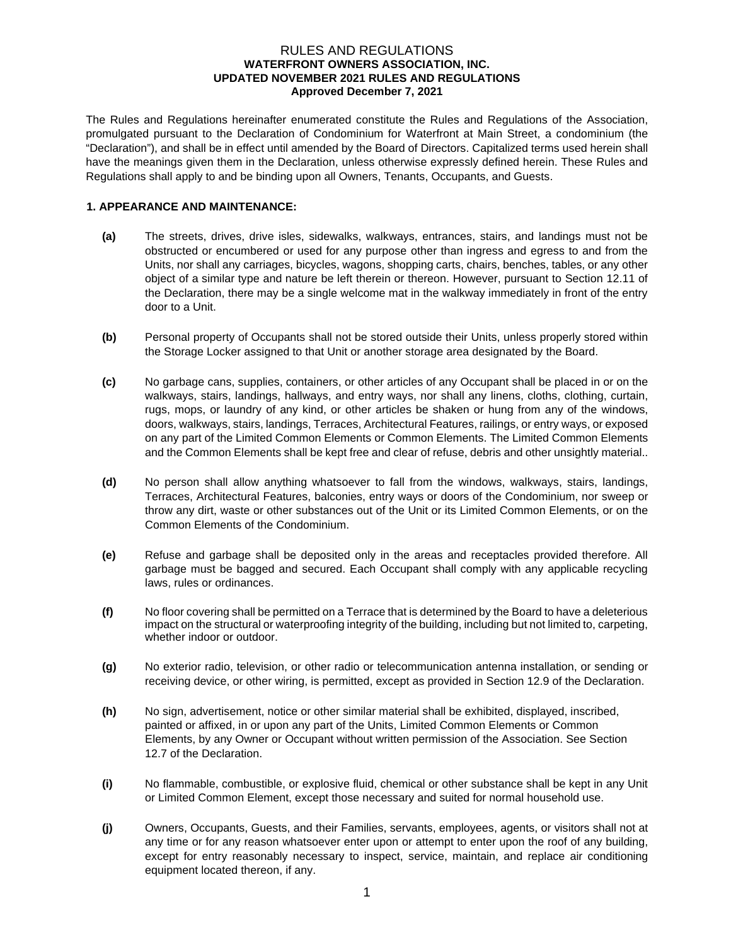### RULES AND REGULATIONS **WATERFRONT OWNERS ASSOCIATION, INC. UPDATED NOVEMBER 2021 RULES AND REGULATIONS Approved December 7, 2021**

The Rules and Regulations hereinafter enumerated constitute the Rules and Regulations of the Association, promulgated pursuant to the Declaration of Condominium for Waterfront at Main Street, a condominium (the "Declaration"), and shall be in effect until amended by the Board of Directors. Capitalized terms used herein shall have the meanings given them in the Declaration, unless otherwise expressly defined herein. These Rules and Regulations shall apply to and be binding upon all Owners, Tenants, Occupants, and Guests.

### **1. APPEARANCE AND MAINTENANCE:**

- **(a)** The streets, drives, drive isles, sidewalks, walkways, entrances, stairs, and landings must not be obstructed or encumbered or used for any purpose other than ingress and egress to and from the Units, nor shall any carriages, bicycles, wagons, shopping carts, chairs, benches, tables, or any other object of a similar type and nature be left therein or thereon. However, pursuant to Section 12.11 of the Declaration, there may be a single welcome mat in the walkway immediately in front of the entry door to a Unit.
- **(b)** Personal property of Occupants shall not be stored outside their Units, unless properly stored within the Storage Locker assigned to that Unit or another storage area designated by the Board.
- **(c)** No garbage cans, supplies, containers, or other articles of any Occupant shall be placed in or on the walkways, stairs, landings, hallways, and entry ways, nor shall any linens, cloths, clothing, curtain, rugs, mops, or laundry of any kind, or other articles be shaken or hung from any of the windows, doors, walkways, stairs, landings, Terraces, Architectural Features, railings, or entry ways, or exposed on any part of the Limited Common Elements or Common Elements. The Limited Common Elements and the Common Elements shall be kept free and clear of refuse, debris and other unsightly material..
- **(d)** No person shall allow anything whatsoever to fall from the windows, walkways, stairs, landings, Terraces, Architectural Features, balconies, entry ways or doors of the Condominium, nor sweep or throw any dirt, waste or other substances out of the Unit or its Limited Common Elements, or on the Common Elements of the Condominium.
- **(e)** Refuse and garbage shall be deposited only in the areas and receptacles provided therefore. All garbage must be bagged and secured. Each Occupant shall comply with any applicable recycling laws, rules or ordinances.
- **(f)** No floor covering shall be permitted on a Terrace that is determined by the Board to have a deleterious impact on the structural or waterproofing integrity of the building, including but not limited to, carpeting, whether indoor or outdoor.
- **(g)** No exterior radio, television, or other radio or telecommunication antenna installation, or sending or receiving device, or other wiring, is permitted, except as provided in Section 12.9 of the Declaration.
- **(h)** No sign, advertisement, notice or other similar material shall be exhibited, displayed, inscribed, painted or affixed, in or upon any part of the Units, Limited Common Elements or Common Elements, by any Owner or Occupant without written permission of the Association. See Section 12.7 of the Declaration.
- **(i)** No flammable, combustible, or explosive fluid, chemical or other substance shall be kept in any Unit or Limited Common Element, except those necessary and suited for normal household use.
- **(j)** Owners, Occupants, Guests, and their Families, servants, employees, agents, or visitors shall not at any time or for any reason whatsoever enter upon or attempt to enter upon the roof of any building, except for entry reasonably necessary to inspect, service, maintain, and replace air conditioning equipment located thereon, if any.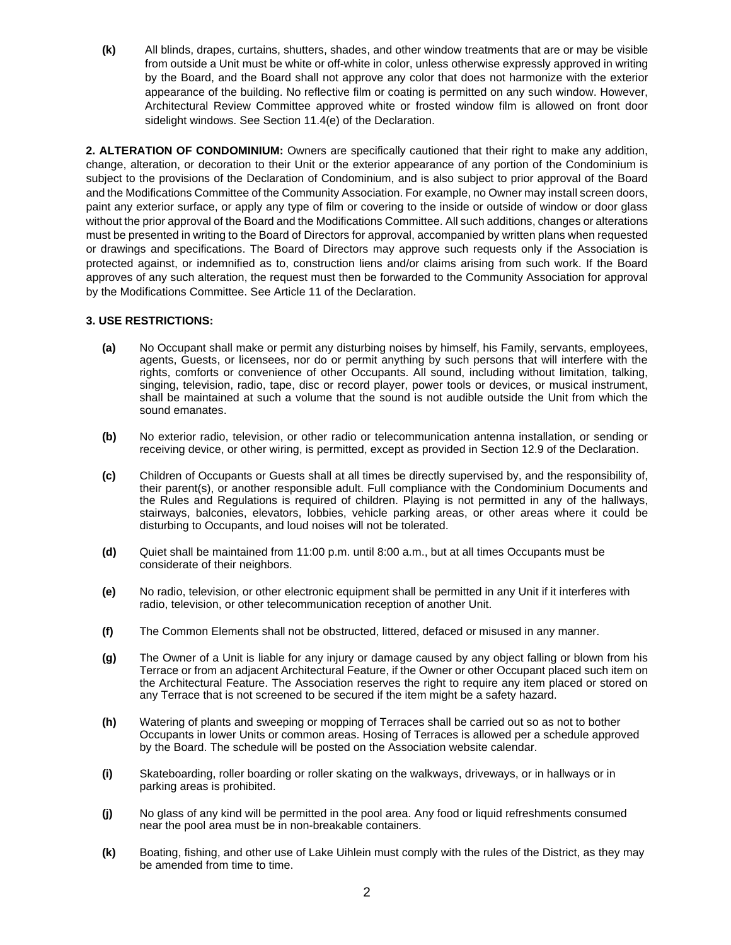**(k)** All blinds, drapes, curtains, shutters, shades, and other window treatments that are or may be visible from outside a Unit must be white or off-white in color, unless otherwise expressly approved in writing by the Board, and the Board shall not approve any color that does not harmonize with the exterior appearance of the building. No reflective film or coating is permitted on any such window. However, Architectural Review Committee approved white or frosted window film is allowed on front door sidelight windows. See Section 11.4(e) of the Declaration.

**2. ALTERATION OF CONDOMINIUM:** Owners are specifically cautioned that their right to make any addition, change, alteration, or decoration to their Unit or the exterior appearance of any portion of the Condominium is subject to the provisions of the Declaration of Condominium, and is also subject to prior approval of the Board and the Modifications Committee of the Community Association. For example, no Owner may install screen doors, paint any exterior surface, or apply any type of film or covering to the inside or outside of window or door glass without the prior approval of the Board and the Modifications Committee. All such additions, changes or alterations must be presented in writing to the Board of Directors for approval, accompanied by written plans when requested or drawings and specifications. The Board of Directors may approve such requests only if the Association is protected against, or indemnified as to, construction liens and/or claims arising from such work. If the Board approves of any such alteration, the request must then be forwarded to the Community Association for approval by the Modifications Committee. See Article 11 of the Declaration.

## **3. USE RESTRICTIONS:**

- **(a)** No Occupant shall make or permit any disturbing noises by himself, his Family, servants, employees, agents, Guests, or licensees, nor do or permit anything by such persons that will interfere with the rights, comforts or convenience of other Occupants. All sound, including without limitation, talking, singing, television, radio, tape, disc or record player, power tools or devices, or musical instrument, shall be maintained at such a volume that the sound is not audible outside the Unit from which the sound emanates.
- **(b)** No exterior radio, television, or other radio or telecommunication antenna installation, or sending or receiving device, or other wiring, is permitted, except as provided in Section 12.9 of the Declaration.
- **(c)** Children of Occupants or Guests shall at all times be directly supervised by, and the responsibility of, their parent(s), or another responsible adult. Full compliance with the Condominium Documents and the Rules and Regulations is required of children. Playing is not permitted in any of the hallways, stairways, balconies, elevators, lobbies, vehicle parking areas, or other areas where it could be disturbing to Occupants, and loud noises will not be tolerated.
- **(d)** Quiet shall be maintained from 11:00 p.m. until 8:00 a.m., but at all times Occupants must be considerate of their neighbors.
- **(e)** No radio, television, or other electronic equipment shall be permitted in any Unit if it interferes with radio, television, or other telecommunication reception of another Unit.
- **(f)** The Common Elements shall not be obstructed, littered, defaced or misused in any manner.
- **(g)** The Owner of a Unit is liable for any injury or damage caused by any object falling or blown from his Terrace or from an adjacent Architectural Feature, if the Owner or other Occupant placed such item on the Architectural Feature. The Association reserves the right to require any item placed or stored on any Terrace that is not screened to be secured if the item might be a safety hazard.
- **(h)** Watering of plants and sweeping or mopping of Terraces shall be carried out so as not to bother Occupants in lower Units or common areas. Hosing of Terraces is allowed per a schedule approved by the Board. The schedule will be posted on the Association website calendar.
- **(i)** Skateboarding, roller boarding or roller skating on the walkways, driveways, or in hallways or in parking areas is prohibited.
- **(j)** No glass of any kind will be permitted in the pool area. Any food or liquid refreshments consumed near the pool area must be in non-breakable containers.
- **(k)** Boating, fishing, and other use of Lake Uihlein must comply with the rules of the District, as they may be amended from time to time.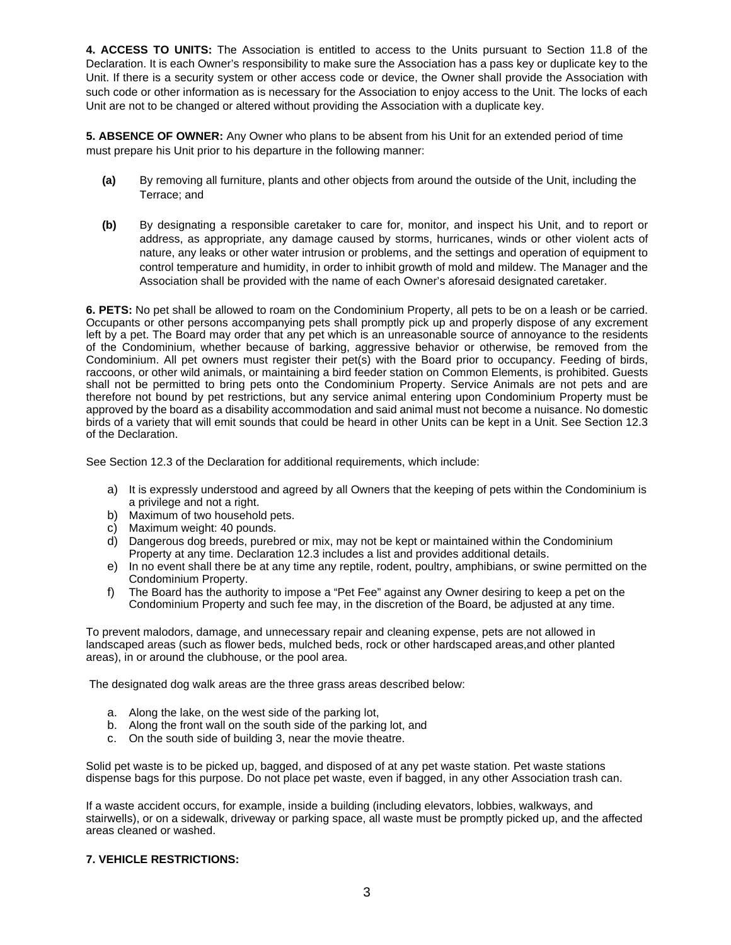**4. ACCESS TO UNITS:** The Association is entitled to access to the Units pursuant to Section 11.8 of the Declaration. It is each Owner's responsibility to make sure the Association has a pass key or duplicate key to the Unit. If there is a security system or other access code or device, the Owner shall provide the Association with such code or other information as is necessary for the Association to enjoy access to the Unit. The locks of each Unit are not to be changed or altered without providing the Association with a duplicate key.

**5. ABSENCE OF OWNER:** Any Owner who plans to be absent from his Unit for an extended period of time must prepare his Unit prior to his departure in the following manner:

- **(a)** By removing all furniture, plants and other objects from around the outside of the Unit, including the Terrace; and
- **(b)** By designating a responsible caretaker to care for, monitor, and inspect his Unit, and to report or address, as appropriate, any damage caused by storms, hurricanes, winds or other violent acts of nature, any leaks or other water intrusion or problems, and the settings and operation of equipment to control temperature and humidity, in order to inhibit growth of mold and mildew. The Manager and the Association shall be provided with the name of each Owner's aforesaid designated caretaker.

**6. PETS:** No pet shall be allowed to roam on the Condominium Property, all pets to be on a leash or be carried. Occupants or other persons accompanying pets shall promptly pick up and properly dispose of any excrement left by a pet. The Board may order that any pet which is an unreasonable source of annoyance to the residents of the Condominium, whether because of barking, aggressive behavior or otherwise, be removed from the Condominium. All pet owners must register their pet(s) with the Board prior to occupancy. Feeding of birds, raccoons, or other wild animals, or maintaining a bird feeder station on Common Elements, is prohibited. Guests shall not be permitted to bring pets onto the Condominium Property. Service Animals are not pets and are therefore not bound by pet restrictions, but any service animal entering upon Condominium Property must be approved by the board as a disability accommodation and said animal must not become a nuisance. No domestic birds of a variety that will emit sounds that could be heard in other Units can be kept in a Unit. See Section 12.3 of the Declaration.

See Section 12.3 of the Declaration for additional requirements, which include:

- a) It is expressly understood and agreed by all Owners that the keeping of pets within the Condominium is a privilege and not a right.
- b) Maximum of two household pets.
- c) Maximum weight: 40 pounds.
- d) Dangerous dog breeds, purebred or mix, may not be kept or maintained within the Condominium Property at any time. Declaration 12.3 includes a list and provides additional details.
- e) In no event shall there be at any time any reptile, rodent, poultry, amphibians, or swine permitted on the Condominium Property.
- f) The Board has the authority to impose a "Pet Fee" against any Owner desiring to keep a pet on the Condominium Property and such fee may, in the discretion of the Board, be adjusted at any time.

To prevent malodors, damage, and unnecessary repair and cleaning expense, pets are not allowed in landscaped areas (such as flower beds, mulched beds, rock or other hardscaped areas,and other planted areas), in or around the clubhouse, or the pool area.

The designated dog walk areas are the three grass areas described below:

- a. Along the lake, on the west side of the parking lot,
- b. Along the front wall on the south side of the parking lot, and
- c. On the south side of building 3, near the movie theatre.

Solid pet waste is to be picked up, bagged, and disposed of at any pet waste station. Pet waste stations dispense bags for this purpose. Do not place pet waste, even if bagged, in any other Association trash can.

If a waste accident occurs, for example, inside a building (including elevators, lobbies, walkways, and stairwells), or on a sidewalk, driveway or parking space, all waste must be promptly picked up, and the affected areas cleaned or washed.

## **7. VEHICLE RESTRICTIONS:**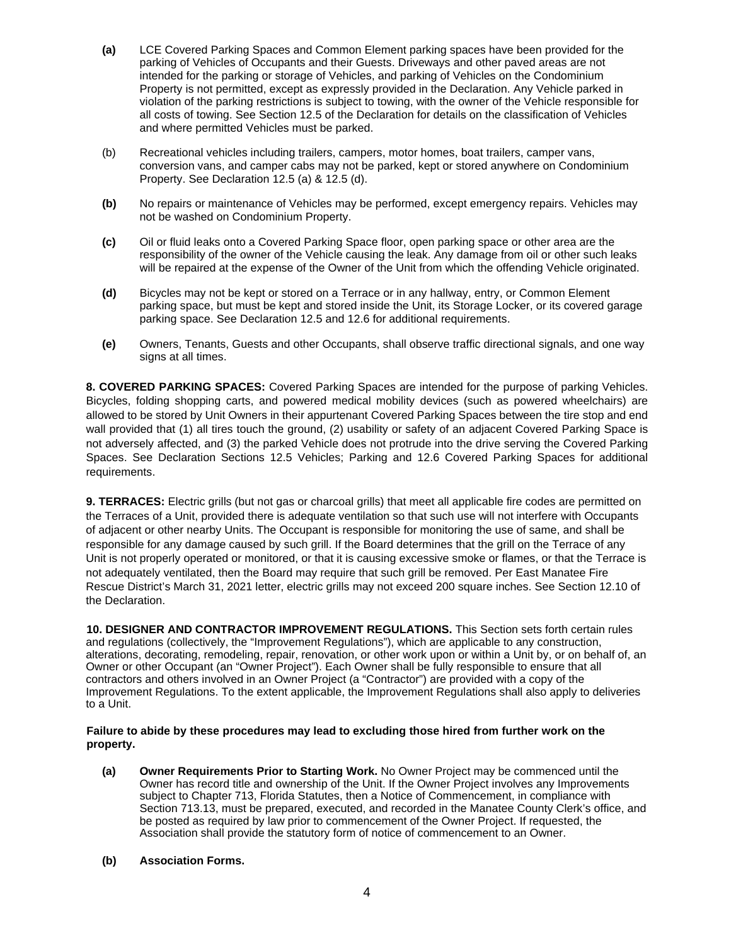- **(a)** LCE Covered Parking Spaces and Common Element parking spaces have been provided for the parking of Vehicles of Occupants and their Guests. Driveways and other paved areas are not intended for the parking or storage of Vehicles, and parking of Vehicles on the Condominium Property is not permitted, except as expressly provided in the Declaration. Any Vehicle parked in violation of the parking restrictions is subject to towing, with the owner of the Vehicle responsible for all costs of towing. See Section 12.5 of the Declaration for details on the classification of Vehicles and where permitted Vehicles must be parked.
- (b) Recreational vehicles including trailers, campers, motor homes, boat trailers, camper vans, conversion vans, and camper cabs may not be parked, kept or stored anywhere on Condominium Property. See Declaration 12.5 (a) & 12.5 (d).
- **(b)** No repairs or maintenance of Vehicles may be performed, except emergency repairs. Vehicles may not be washed on Condominium Property.
- **(c)** Oil or fluid leaks onto a Covered Parking Space floor, open parking space or other area are the responsibility of the owner of the Vehicle causing the leak. Any damage from oil or other such leaks will be repaired at the expense of the Owner of the Unit from which the offending Vehicle originated.
- **(d)** Bicycles may not be kept or stored on a Terrace or in any hallway, entry, or Common Element parking space, but must be kept and stored inside the Unit, its Storage Locker, or its covered garage parking space. See Declaration 12.5 and 12.6 for additional requirements.
- **(e)** Owners, Tenants, Guests and other Occupants, shall observe traffic directional signals, and one way signs at all times.

**8. COVERED PARKING SPACES:** Covered Parking Spaces are intended for the purpose of parking Vehicles. Bicycles, folding shopping carts, and powered medical mobility devices (such as powered wheelchairs) are allowed to be stored by Unit Owners in their appurtenant Covered Parking Spaces between the tire stop and end wall provided that (1) all tires touch the ground, (2) usability or safety of an adjacent Covered Parking Space is not adversely affected, and (3) the parked Vehicle does not protrude into the drive serving the Covered Parking Spaces. See Declaration Sections 12.5 Vehicles; Parking and 12.6 Covered Parking Spaces for additional requirements.

**9. TERRACES:** Electric grills (but not gas or charcoal grills) that meet all applicable fire codes are permitted on the Terraces of a Unit, provided there is adequate ventilation so that such use will not interfere with Occupants of adjacent or other nearby Units. The Occupant is responsible for monitoring the use of same, and shall be responsible for any damage caused by such grill. If the Board determines that the grill on the Terrace of any Unit is not properly operated or monitored, or that it is causing excessive smoke or flames, or that the Terrace is not adequately ventilated, then the Board may require that such grill be removed. Per East Manatee Fire Rescue District's March 31, 2021 letter, electric grills may not exceed 200 square inches. See Section 12.10 of the Declaration.

**10. DESIGNER AND CONTRACTOR IMPROVEMENT REGULATIONS.** This Section sets forth certain rules and regulations (collectively, the "Improvement Regulations"), which are applicable to any construction, alterations, decorating, remodeling, repair, renovation, or other work upon or within a Unit by, or on behalf of, an Owner or other Occupant (an "Owner Project"). Each Owner shall be fully responsible to ensure that all contractors and others involved in an Owner Project (a "Contractor") are provided with a copy of the Improvement Regulations. To the extent applicable, the Improvement Regulations shall also apply to deliveries to a Unit.

### **Failure to abide by these procedures may lead to excluding those hired from further work on the property.**

- **(a) Owner Requirements Prior to Starting Work.** No Owner Project may be commenced until the Owner has record title and ownership of the Unit. If the Owner Project involves any Improvements subject to Chapter 713, Florida Statutes, then a Notice of Commencement, in compliance with Section 713.13, must be prepared, executed, and recorded in the Manatee County Clerk's office, and be posted as required by law prior to commencement of the Owner Project. If requested, the Association shall provide the statutory form of notice of commencement to an Owner.
- **(b) Association Forms.**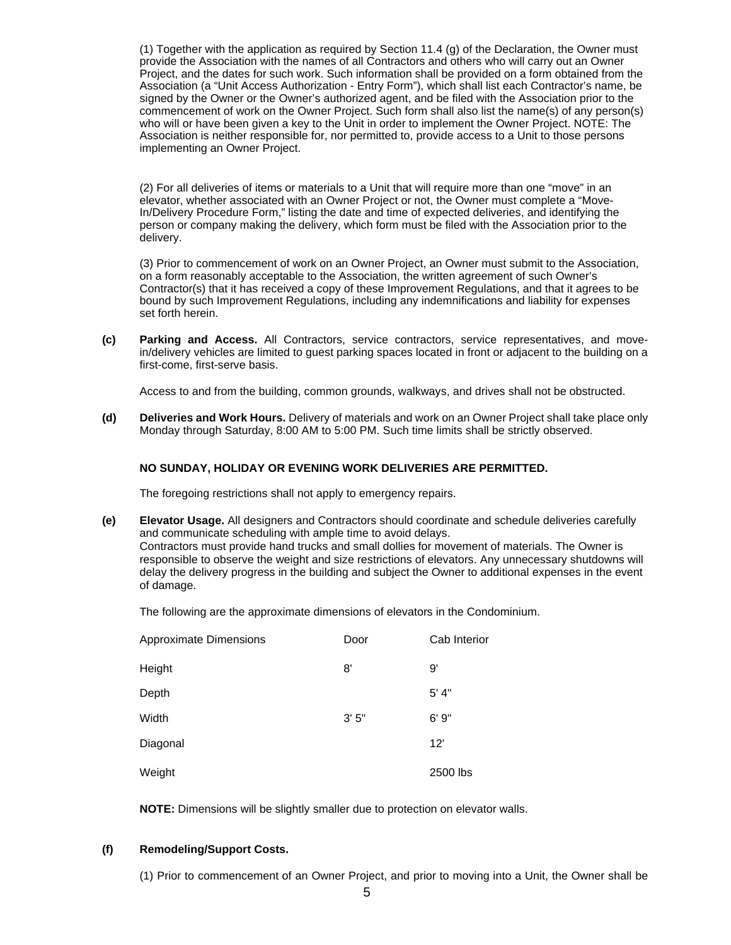(1) Together with the application as required by Section 11.4 (g) of the Declaration, the Owner must provide the Association with the names of all Contractors and others who will carry out an Owner Project, and the dates for such work. Such information shall be provided on a form obtained from the Association (a "Unit Access Authorization - Entry Form"), which shall list each Contractor's name, be signed by the Owner or the Owner's authorized agent, and be filed with the Association prior to the commencement of work on the Owner Project. Such form shall also list the name(s) of any person(s) who will or have been given a key to the Unit in order to implement the Owner Project. NOTE: The Association is neither responsible for, nor permitted to, provide access to a Unit to those persons implementing an Owner Project.

(2) For all deliveries of items or materials to a Unit that will require more than one "move" in an elevator, whether associated with an Owner Project or not, the Owner must complete a "Move-In/Delivery Procedure Form," listing the date and time of expected deliveries, and identifying the person or company making the delivery, which form must be filed with the Association prior to the delivery.

(3) Prior to commencement of work on an Owner Project, an Owner must submit to the Association, on a form reasonably acceptable to the Association, the written agreement of such Owner's Contractor(s) that it has received a copy of these Improvement Regulations, and that it agrees to be bound by such Improvement Regulations, including any indemnifications and liability for expenses set forth herein.

**(c) Parking and Access.** All Contractors, service contractors, service representatives, and movein/delivery vehicles are limited to guest parking spaces located in front or adjacent to the building on a first-come, first-serve basis.

Access to and from the building, common grounds, walkways, and drives shall not be obstructed.

**(d) Deliveries and Work Hours.** Delivery of materials and work on an Owner Project shall take place only Monday through Saturday, 8:00 AM to 5:00 PM. Such time limits shall be strictly observed.

### **NO SUNDAY, HOLIDAY OR EVENING WORK DELIVERIES ARE PERMITTED.**

The foregoing restrictions shall not apply to emergency repairs.

**(e) Elevator Usage.** All designers and Contractors should coordinate and schedule deliveries carefully and communicate scheduling with ample time to avoid delays. Contractors must provide hand trucks and small dollies for movement of materials. The Owner is responsible to observe the weight and size restrictions of elevators. Any unnecessary shutdowns will delay the delivery progress in the building and subject the Owner to additional expenses in the event of damage.

The following are the approximate dimensions of elevators in the Condominium.

| Approximate Dimensions | Door  | Cab Interior |
|------------------------|-------|--------------|
| Height                 | 8'    | 9'           |
| Depth                  |       | 5' 4"        |
| Width                  | 3'5'' | 6'9''        |
| Diagonal               |       | 12'          |
| Weight                 |       | 2500 lbs     |

**NOTE:** Dimensions will be slightly smaller due to protection on elevator walls.

#### **(f) Remodeling/Support Costs.**

(1) Prior to commencement of an Owner Project, and prior to moving into a Unit, the Owner shall be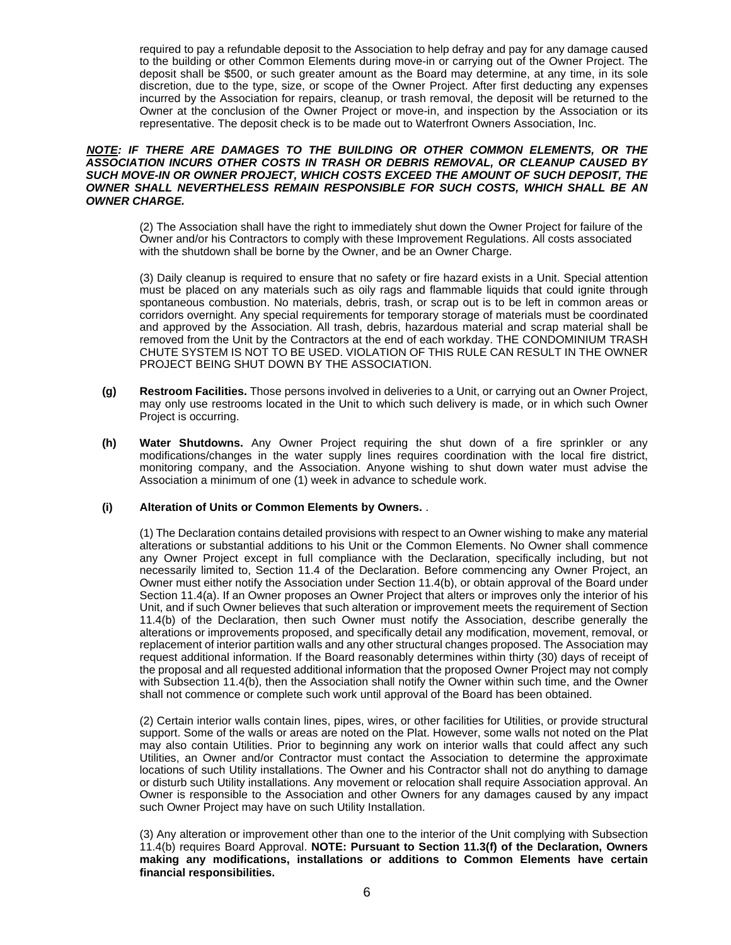required to pay a refundable deposit to the Association to help defray and pay for any damage caused to the building or other Common Elements during move-in or carrying out of the Owner Project. The deposit shall be \$500, or such greater amount as the Board may determine, at any time, in its sole discretion, due to the type, size, or scope of the Owner Project. After first deducting any expenses incurred by the Association for repairs, cleanup, or trash removal, the deposit will be returned to the Owner at the conclusion of the Owner Project or move-in, and inspection by the Association or its representative. The deposit check is to be made out to Waterfront Owners Association, Inc.

#### **NOTE: IF THERE ARE DAMAGES TO THE BUILDING OR OTHER COMMON ELEMENTS, OR THE ASSOCIATION INCURS OTHER COSTS IN TRASH OR DEBRIS REMOVAL, OR CLEANUP CAUSED BY SUCH MOVE-IN OR OWNER PROJECT, WHICH COSTS EXCEED THE AMOUNT OF SUCH DEPOSIT, THE OWNER SHALL NEVERTHELESS REMAIN RESPONSIBLE FOR SUCH COSTS, WHICH SHALL BE AN OWNER CHARGE.**

(2) The Association shall have the right to immediately shut down the Owner Project for failure of the Owner and/or his Contractors to comply with these Improvement Regulations. All costs associated with the shutdown shall be borne by the Owner, and be an Owner Charge.

(3) Daily cleanup is required to ensure that no safety or fire hazard exists in a Unit. Special attention must be placed on any materials such as oily rags and flammable liquids that could ignite through spontaneous combustion. No materials, debris, trash, or scrap out is to be left in common areas or corridors overnight. Any special requirements for temporary storage of materials must be coordinated and approved by the Association. All trash, debris, hazardous material and scrap material shall be removed from the Unit by the Contractors at the end of each workday. THE CONDOMINIUM TRASH CHUTE SYSTEM IS NOT TO BE USED. VIOLATION OF THIS RULE CAN RESULT IN THE OWNER PROJECT BEING SHUT DOWN BY THE ASSOCIATION.

- **(g) Restroom Facilities.** Those persons involved in deliveries to a Unit, or carrying out an Owner Project, may only use restrooms located in the Unit to which such delivery is made, or in which such Owner Project is occurring.
- **(h) Water Shutdowns.** Any Owner Project requiring the shut down of a fire sprinkler or any modifications/changes in the water supply lines requires coordination with the local fire district, monitoring company, and the Association. Anyone wishing to shut down water must advise the Association a minimum of one (1) week in advance to schedule work.

#### **(i) Alteration of Units or Common Elements by Owners.** .

(1) The Declaration contains detailed provisions with respect to an Owner wishing to make any material alterations or substantial additions to his Unit or the Common Elements. No Owner shall commence any Owner Project except in full compliance with the Declaration, specifically including, but not necessarily limited to, Section 11.4 of the Declaration. Before commencing any Owner Project, an Owner must either notify the Association under Section 11.4(b), or obtain approval of the Board under Section 11.4(a). If an Owner proposes an Owner Project that alters or improves only the interior of his Unit, and if such Owner believes that such alteration or improvement meets the requirement of Section 11.4(b) of the Declaration, then such Owner must notify the Association, describe generally the alterations or improvements proposed, and specifically detail any modification, movement, removal, or replacement of interior partition walls and any other structural changes proposed. The Association may request additional information. If the Board reasonably determines within thirty (30) days of receipt of the proposal and all requested additional information that the proposed Owner Project may not comply with Subsection 11.4(b), then the Association shall notify the Owner within such time, and the Owner shall not commence or complete such work until approval of the Board has been obtained.

(2) Certain interior walls contain lines, pipes, wires, or other facilities for Utilities, or provide structural support. Some of the walls or areas are noted on the Plat. However, some walls not noted on the Plat may also contain Utilities. Prior to beginning any work on interior walls that could affect any such Utilities, an Owner and/or Contractor must contact the Association to determine the approximate locations of such Utility installations. The Owner and his Contractor shall not do anything to damage or disturb such Utility installations. Any movement or relocation shall require Association approval. An Owner is responsible to the Association and other Owners for any damages caused by any impact such Owner Project may have on such Utility Installation.

(3) Any alteration or improvement other than one to the interior of the Unit complying with Subsection 11.4(b) requires Board Approval. **NOTE: Pursuant to Section 11.3(f) of the Declaration, Owners making any modifications, installations or additions to Common Elements have certain financial responsibilities.**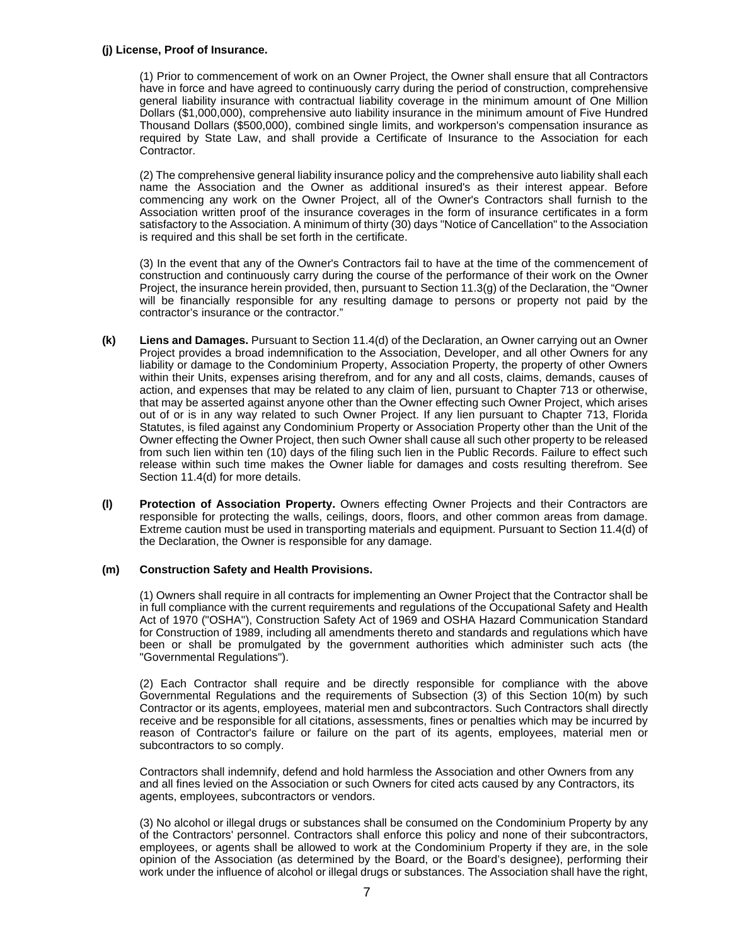#### **(j) License, Proof of Insurance.**

(1) Prior to commencement of work on an Owner Project, the Owner shall ensure that all Contractors have in force and have agreed to continuously carry during the period of construction, comprehensive general liability insurance with contractual liability coverage in the minimum amount of One Million Dollars (\$1,000,000), comprehensive auto liability insurance in the minimum amount of Five Hundred Thousand Dollars (\$500,000), combined single limits, and workperson's compensation insurance as required by State Law, and shall provide a Certificate of Insurance to the Association for each Contractor.

(2) The comprehensive general liability insurance policy and the comprehensive auto liability shall each name the Association and the Owner as additional insured's as their interest appear. Before commencing any work on the Owner Project, all of the Owner's Contractors shall furnish to the Association written proof of the insurance coverages in the form of insurance certificates in a form satisfactory to the Association. A minimum of thirty (30) days "Notice of Cancellation" to the Association is required and this shall be set forth in the certificate.

(3) In the event that any of the Owner's Contractors fail to have at the time of the commencement of construction and continuously carry during the course of the performance of their work on the Owner Project, the insurance herein provided, then, pursuant to Section 11.3(g) of the Declaration, the "Owner will be financially responsible for any resulting damage to persons or property not paid by the contractor's insurance or the contractor."

- **(k) Liens and Damages.** Pursuant to Section 11.4(d) of the Declaration, an Owner carrying out an Owner Project provides a broad indemnification to the Association, Developer, and all other Owners for any liability or damage to the Condominium Property, Association Property, the property of other Owners within their Units, expenses arising therefrom, and for any and all costs, claims, demands, causes of action, and expenses that may be related to any claim of lien, pursuant to Chapter 713 or otherwise, that may be asserted against anyone other than the Owner effecting such Owner Project, which arises out of or is in any way related to such Owner Project. If any lien pursuant to Chapter 713, Florida Statutes, is filed against any Condominium Property or Association Property other than the Unit of the Owner effecting the Owner Project, then such Owner shall cause all such other property to be released from such lien within ten (10) days of the filing such lien in the Public Records. Failure to effect such release within such time makes the Owner liable for damages and costs resulting therefrom. See Section 11.4(d) for more details.
- **(l) Protection of Association Property.** Owners effecting Owner Projects and their Contractors are responsible for protecting the walls, ceilings, doors, floors, and other common areas from damage. Extreme caution must be used in transporting materials and equipment. Pursuant to Section 11.4(d) of the Declaration, the Owner is responsible for any damage.

#### **(m) Construction Safety and Health Provisions.**

(1) Owners shall require in all contracts for implementing an Owner Project that the Contractor shall be in full compliance with the current requirements and regulations of the Occupational Safety and Health Act of 1970 ("OSHA"), Construction Safety Act of 1969 and OSHA Hazard Communication Standard for Construction of 1989, including all amendments thereto and standards and regulations which have been or shall be promulgated by the government authorities which administer such acts (the "Governmental Regulations").

(2) Each Contractor shall require and be directly responsible for compliance with the above Governmental Regulations and the requirements of Subsection (3) of this Section 10(m) by such Contractor or its agents, employees, material men and subcontractors. Such Contractors shall directly receive and be responsible for all citations, assessments, fines or penalties which may be incurred by reason of Contractor's failure or failure on the part of its agents, employees, material men or subcontractors to so comply.

Contractors shall indemnify, defend and hold harmless the Association and other Owners from any and all fines levied on the Association or such Owners for cited acts caused by any Contractors, its agents, employees, subcontractors or vendors.

(3) No alcohol or illegal drugs or substances shall be consumed on the Condominium Property by any of the Contractors' personnel. Contractors shall enforce this policy and none of their subcontractors, employees, or agents shall be allowed to work at the Condominium Property if they are, in the sole opinion of the Association (as determined by the Board, or the Board's designee), performing their work under the influence of alcohol or illegal drugs or substances. The Association shall have the right,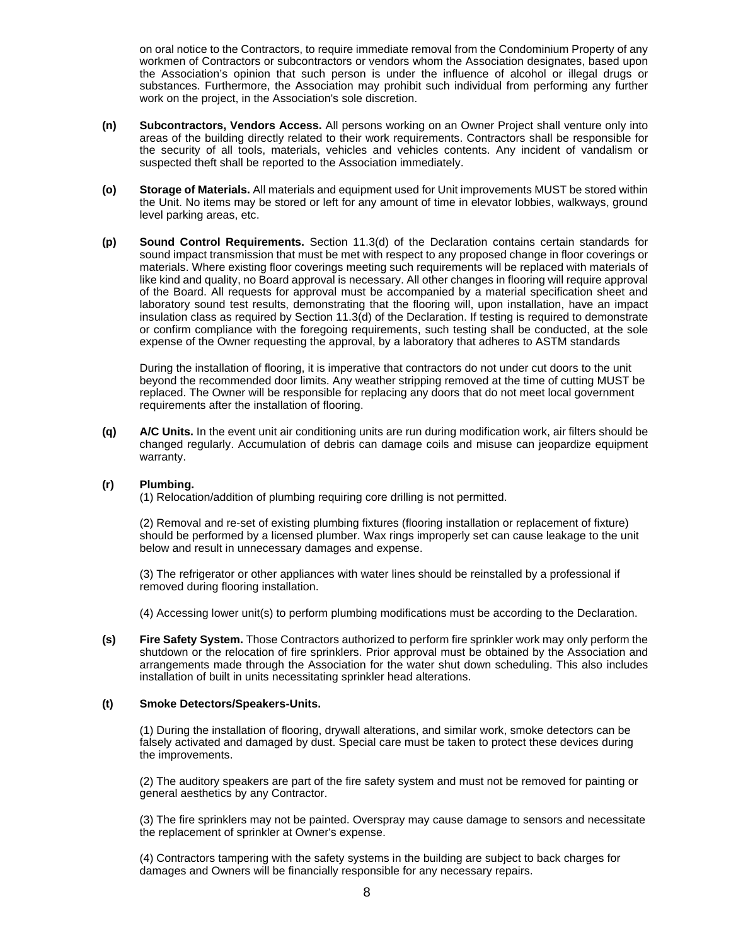on oral notice to the Contractors, to require immediate removal from the Condominium Property of any workmen of Contractors or subcontractors or vendors whom the Association designates, based upon the Association's opinion that such person is under the influence of alcohol or illegal drugs or substances. Furthermore, the Association may prohibit such individual from performing any further work on the project, in the Association's sole discretion.

- **(n) Subcontractors, Vendors Access.** All persons working on an Owner Project shall venture only into areas of the building directly related to their work requirements. Contractors shall be responsible for the security of all tools, materials, vehicles and vehicles contents. Any incident of vandalism or suspected theft shall be reported to the Association immediately.
- **(o) Storage of Materials.** All materials and equipment used for Unit improvements MUST be stored within the Unit. No items may be stored or left for any amount of time in elevator lobbies, walkways, ground level parking areas, etc.
- **(p) Sound Control Requirements.** Section 11.3(d) of the Declaration contains certain standards for sound impact transmission that must be met with respect to any proposed change in floor coverings or materials. Where existing floor coverings meeting such requirements will be replaced with materials of like kind and quality, no Board approval is necessary. All other changes in flooring will require approval of the Board. All requests for approval must be accompanied by a material specification sheet and laboratory sound test results, demonstrating that the flooring will, upon installation, have an impact insulation class as required by Section 11.3(d) of the Declaration. If testing is required to demonstrate or confirm compliance with the foregoing requirements, such testing shall be conducted, at the sole expense of the Owner requesting the approval, by a laboratory that adheres to ASTM standards

During the installation of flooring, it is imperative that contractors do not under cut doors to the unit beyond the recommended door limits. Any weather stripping removed at the time of cutting MUST be replaced. The Owner will be responsible for replacing any doors that do not meet local government requirements after the installation of flooring.

**(q) A/C Units.** In the event unit air conditioning units are run during modification work, air filters should be changed regularly. Accumulation of debris can damage coils and misuse can jeopardize equipment warranty.

#### **(r) Plumbing.**

(1) Relocation/addition of plumbing requiring core drilling is not permitted.

(2) Removal and re-set of existing plumbing fixtures (flooring installation or replacement of fixture) should be performed by a licensed plumber. Wax rings improperly set can cause leakage to the unit below and result in unnecessary damages and expense.

(3) The refrigerator or other appliances with water lines should be reinstalled by a professional if removed during flooring installation.

(4) Accessing lower unit(s) to perform plumbing modifications must be according to the Declaration.

**(s) Fire Safety System.** Those Contractors authorized to perform fire sprinkler work may only perform the shutdown or the relocation of fire sprinklers. Prior approval must be obtained by the Association and arrangements made through the Association for the water shut down scheduling. This also includes installation of built in units necessitating sprinkler head alterations.

#### **(t) Smoke Detectors/Speakers-Units.**

(1) During the installation of flooring, drywall alterations, and similar work, smoke detectors can be falsely activated and damaged by dust. Special care must be taken to protect these devices during the improvements.

(2) The auditory speakers are part of the fire safety system and must not be removed for painting or general aesthetics by any Contractor.

(3) The fire sprinklers may not be painted. Overspray may cause damage to sensors and necessitate the replacement of sprinkler at Owner's expense.

(4) Contractors tampering with the safety systems in the building are subject to back charges for damages and Owners will be financially responsible for any necessary repairs.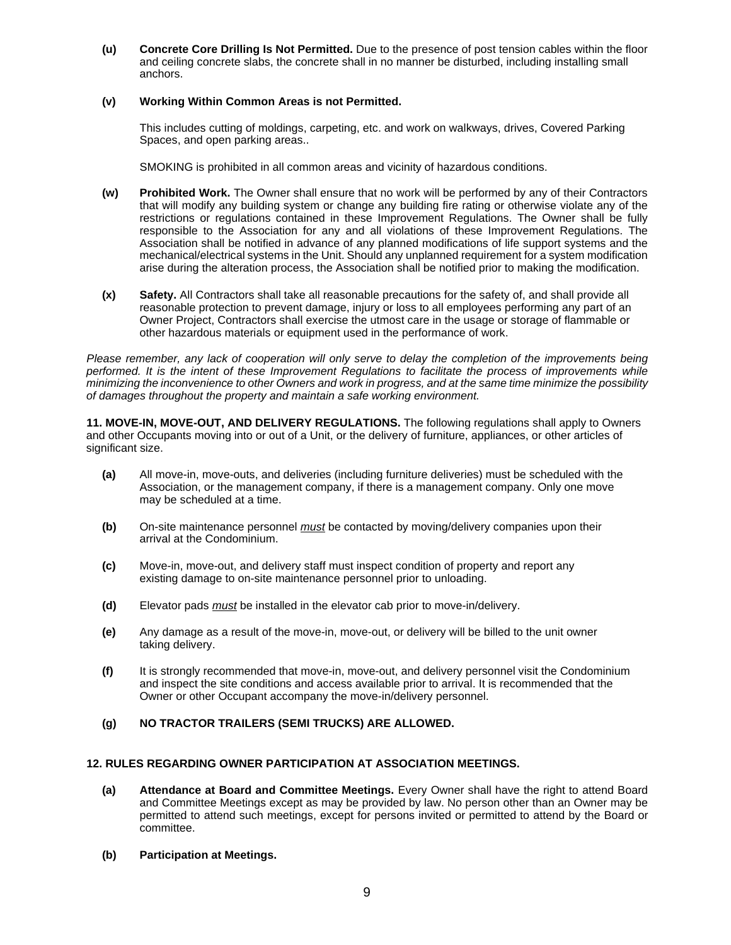**(u) Concrete Core Drilling Is Not Permitted.** Due to the presence of post tension cables within the floor and ceiling concrete slabs, the concrete shall in no manner be disturbed, including installing small anchors.

## **(v) Working Within Common Areas is not Permitted.**

This includes cutting of moldings, carpeting, etc. and work on walkways, drives, Covered Parking Spaces, and open parking areas..

SMOKING is prohibited in all common areas and vicinity of hazardous conditions.

- **(w) Prohibited Work.** The Owner shall ensure that no work will be performed by any of their Contractors that will modify any building system or change any building fire rating or otherwise violate any of the restrictions or regulations contained in these Improvement Regulations. The Owner shall be fully responsible to the Association for any and all violations of these Improvement Regulations. The Association shall be notified in advance of any planned modifications of life support systems and the mechanical/electrical systems in the Unit. Should any unplanned requirement for a system modification arise during the alteration process, the Association shall be notified prior to making the modification.
- **(x) Safety.** All Contractors shall take all reasonable precautions for the safety of, and shall provide all reasonable protection to prevent damage, injury or loss to all employees performing any part of an Owner Project, Contractors shall exercise the utmost care in the usage or storage of flammable or other hazardous materials or equipment used in the performance of work.

Please remember, any lack of cooperation will only serve to delay the completion of the improvements being performed. It is the intent of these Improvement Regulations to facilitate the process of improvements while minimizing the inconvenience to other Owners and work in progress, and at the same time minimize the possibility of damages throughout the property and maintain a safe working environment.

**11. MOVE-IN, MOVE-OUT, AND DELIVERY REGULATIONS.** The following regulations shall apply to Owners and other Occupants moving into or out of a Unit, or the delivery of furniture, appliances, or other articles of significant size.

- **(a)** All move-in, move-outs, and deliveries (including furniture deliveries) must be scheduled with the Association, or the management company, if there is a management company. Only one move may be scheduled at a time.
- **(b)** On-site maintenance personnel must be contacted by moving/delivery companies upon their arrival at the Condominium.
- **(c)** Move-in, move-out, and delivery staff must inspect condition of property and report any existing damage to on-site maintenance personnel prior to unloading.
- **(d)** Elevator pads must be installed in the elevator cab prior to move-in/delivery.
- **(e)** Any damage as a result of the move-in, move-out, or delivery will be billed to the unit owner taking delivery.
- **(f)** It is strongly recommended that move-in, move-out, and delivery personnel visit the Condominium and inspect the site conditions and access available prior to arrival. It is recommended that the Owner or other Occupant accompany the move-in/delivery personnel.

# **(g) NO TRACTOR TRAILERS (SEMI TRUCKS) ARE ALLOWED.**

## **12. RULES REGARDING OWNER PARTICIPATION AT ASSOCIATION MEETINGS.**

- **(a) Attendance at Board and Committee Meetings.** Every Owner shall have the right to attend Board and Committee Meetings except as may be provided by law. No person other than an Owner may be permitted to attend such meetings, except for persons invited or permitted to attend by the Board or committee.
- **(b) Participation at Meetings.**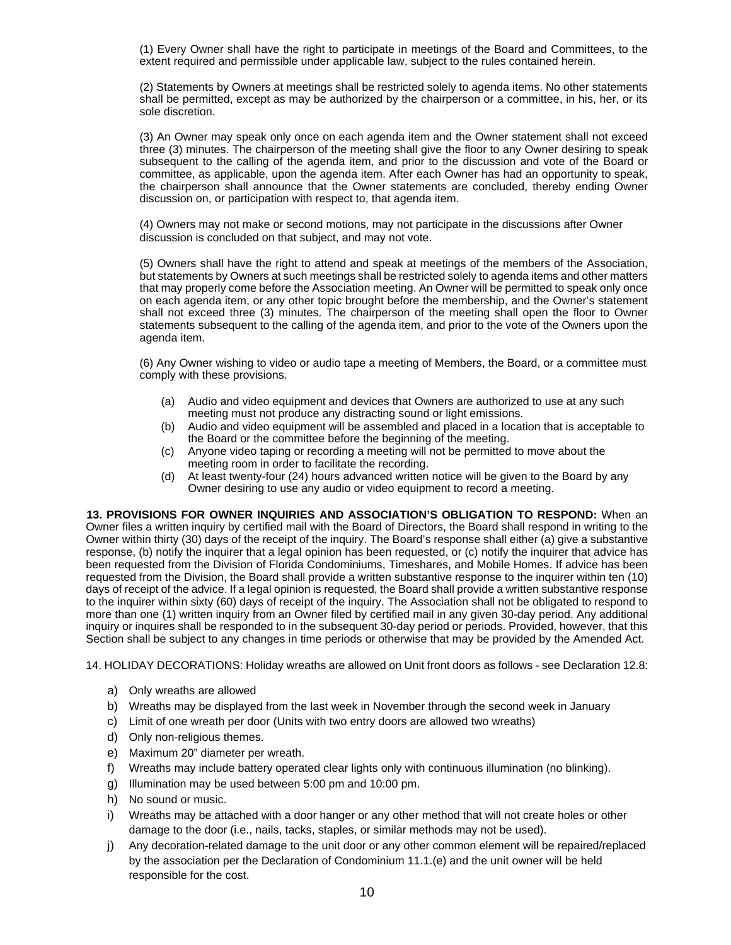(1) Every Owner shall have the right to participate in meetings of the Board and Committees, to the extent required and permissible under applicable law, subject to the rules contained herein.

(2) Statements by Owners at meetings shall be restricted solely to agenda items. No other statements shall be permitted, except as may be authorized by the chairperson or a committee, in his, her, or its sole discretion.

(3) An Owner may speak only once on each agenda item and the Owner statement shall not exceed three (3) minutes. The chairperson of the meeting shall give the floor to any Owner desiring to speak subsequent to the calling of the agenda item, and prior to the discussion and vote of the Board or committee, as applicable, upon the agenda item. After each Owner has had an opportunity to speak, the chairperson shall announce that the Owner statements are concluded, thereby ending Owner discussion on, or participation with respect to, that agenda item.

(4) Owners may not make or second motions, may not participate in the discussions after Owner discussion is concluded on that subject, and may not vote.

(5) Owners shall have the right to attend and speak at meetings of the members of the Association, but statements by Owners at such meetings shall be restricted solely to agenda items and other matters that may properly come before the Association meeting. An Owner will be permitted to speak only once on each agenda item, or any other topic brought before the membership, and the Owner's statement shall not exceed three (3) minutes. The chairperson of the meeting shall open the floor to Owner statements subsequent to the calling of the agenda item, and prior to the vote of the Owners upon the agenda item.

(6) Any Owner wishing to video or audio tape a meeting of Members, the Board, or a committee must comply with these provisions.

- (a) Audio and video equipment and devices that Owners are authorized to use at any such meeting must not produce any distracting sound or light emissions.
- (b) Audio and video equipment will be assembled and placed in a location that is acceptable to the Board or the committee before the beginning of the meeting.
- (c) Anyone video taping or recording a meeting will not be permitted to move about the meeting room in order to facilitate the recording.
- (d) At least twenty-four (24) hours advanced written notice will be given to the Board by any Owner desiring to use any audio or video equipment to record a meeting.

**13. PROVISIONS FOR OWNER INQUIRIES AND ASSOCIATION'S OBLIGATION TO RESPOND:** When an Owner files a written inquiry by certified mail with the Board of Directors, the Board shall respond in writing to the Owner within thirty (30) days of the receipt of the inquiry. The Board's response shall either (a) give a substantive response, (b) notify the inquirer that a legal opinion has been requested, or (c) notify the inquirer that advice has been requested from the Division of Florida Condominiums, Timeshares, and Mobile Homes. If advice has been requested from the Division, the Board shall provide a written substantive response to the inquirer within ten (10) days of receipt of the advice. If a legal opinion is requested, the Board shall provide a written substantive response to the inquirer within sixty (60) days of receipt of the inquiry. The Association shall not be obligated to respond to more than one (1) written inquiry from an Owner filed by certified mail in any given 30-day period. Any additional inquiry or inquires shall be responded to in the subsequent 30-day period or periods. Provided, however, that this Section shall be subject to any changes in time periods or otherwise that may be provided by the Amended Act.

14. HOLIDAY DECORATIONS: Holiday wreaths are allowed on Unit front doors as follows - see Declaration 12.8:

- a) Only wreaths are allowed
- b) Wreaths may be displayed from the last week in November through the second week in January
- c) Limit of one wreath per door (Units with two entry doors are allowed two wreaths)
- d) Only non-religious themes.
- e) Maximum 20" diameter per wreath.
- f) Wreaths may include battery operated clear lights only with continuous illumination (no blinking).
- g) Illumination may be used between 5:00 pm and 10:00 pm.
- h) No sound or music.
- i) Wreaths may be attached with a door hanger or any other method that will not create holes or other damage to the door (i.e., nails, tacks, staples, or similar methods may not be used).
- j) Any decoration-related damage to the unit door or any other common element will be repaired/replaced by the association per the Declaration of Condominium 11.1.(e) and the unit owner will be held responsible for the cost.